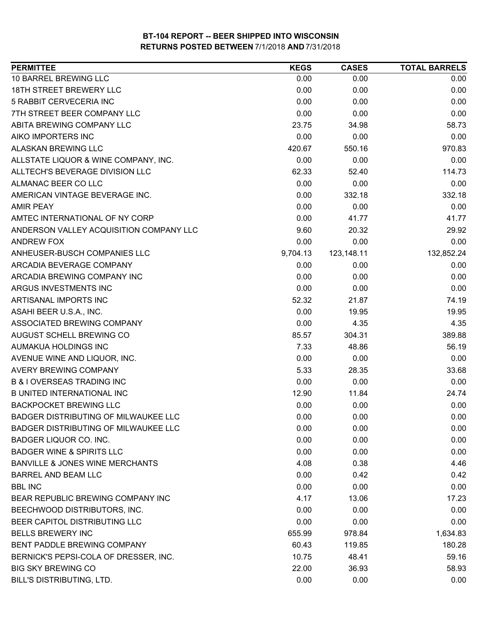| <b>PERMITTEE</b>                            | <b>KEGS</b> | <b>CASES</b> | <b>TOTAL BARRELS</b> |
|---------------------------------------------|-------------|--------------|----------------------|
| 10 BARREL BREWING LLC                       | 0.00        | 0.00         | 0.00                 |
| 18TH STREET BREWERY LLC                     | 0.00        | 0.00         | 0.00                 |
| 5 RABBIT CERVECERIA INC                     | 0.00        | 0.00         | 0.00                 |
| 7TH STREET BEER COMPANY LLC                 | 0.00        | 0.00         | 0.00                 |
| ABITA BREWING COMPANY LLC                   | 23.75       | 34.98        | 58.73                |
| AIKO IMPORTERS INC                          | 0.00        | 0.00         | 0.00                 |
| <b>ALASKAN BREWING LLC</b>                  | 420.67      | 550.16       | 970.83               |
| ALLSTATE LIQUOR & WINE COMPANY, INC.        | 0.00        | 0.00         | 0.00                 |
| ALLTECH'S BEVERAGE DIVISION LLC             | 62.33       | 52.40        | 114.73               |
| ALMANAC BEER CO LLC                         | 0.00        | 0.00         | 0.00                 |
| AMERICAN VINTAGE BEVERAGE INC.              | 0.00        | 332.18       | 332.18               |
| <b>AMIR PEAY</b>                            | 0.00        | 0.00         | 0.00                 |
| AMTEC INTERNATIONAL OF NY CORP              | 0.00        | 41.77        | 41.77                |
| ANDERSON VALLEY ACQUISITION COMPANY LLC     | 9.60        | 20.32        | 29.92                |
| <b>ANDREW FOX</b>                           | 0.00        | 0.00         | 0.00                 |
| ANHEUSER-BUSCH COMPANIES LLC                | 9,704.13    | 123,148.11   | 132,852.24           |
| ARCADIA BEVERAGE COMPANY                    | 0.00        | 0.00         | 0.00                 |
| ARCADIA BREWING COMPANY INC                 | 0.00        | 0.00         | 0.00                 |
| ARGUS INVESTMENTS INC                       | 0.00        | 0.00         | 0.00                 |
| ARTISANAL IMPORTS INC                       | 52.32       | 21.87        | 74.19                |
| ASAHI BEER U.S.A., INC.                     | 0.00        | 19.95        | 19.95                |
| ASSOCIATED BREWING COMPANY                  | 0.00        | 4.35         | 4.35                 |
| AUGUST SCHELL BREWING CO                    | 85.57       | 304.31       | 389.88               |
| AUMAKUA HOLDINGS INC                        | 7.33        | 48.86        | 56.19                |
| AVENUE WINE AND LIQUOR, INC.                | 0.00        | 0.00         | 0.00                 |
| AVERY BREWING COMPANY                       | 5.33        | 28.35        | 33.68                |
| <b>B &amp; I OVERSEAS TRADING INC</b>       | 0.00        | 0.00         | 0.00                 |
| <b>B UNITED INTERNATIONAL INC</b>           | 12.90       | 11.84        | 24.74                |
| <b>BACKPOCKET BREWING LLC</b>               | 0.00        | 0.00         | 0.00                 |
| <b>BADGER DISTRIBUTING OF MILWAUKEE LLC</b> | 0.00        | 0.00         | 0.00                 |
| <b>BADGER DISTRIBUTING OF MILWAUKEE LLC</b> | 0.00        | 0.00         | 0.00                 |
| <b>BADGER LIQUOR CO. INC.</b>               | 0.00        | 0.00         | 0.00                 |
| <b>BADGER WINE &amp; SPIRITS LLC</b>        | 0.00        | 0.00         | 0.00                 |
| <b>BANVILLE &amp; JONES WINE MERCHANTS</b>  | 4.08        | 0.38         | 4.46                 |
| <b>BARREL AND BEAM LLC</b>                  | 0.00        | 0.42         | 0.42                 |
| <b>BBL INC</b>                              | 0.00        | 0.00         | 0.00                 |
| BEAR REPUBLIC BREWING COMPANY INC           | 4.17        | 13.06        | 17.23                |
| BEECHWOOD DISTRIBUTORS, INC.                | 0.00        | 0.00         | 0.00                 |
| BEER CAPITOL DISTRIBUTING LLC               | 0.00        | 0.00         | 0.00                 |
| <b>BELLS BREWERY INC</b>                    | 655.99      | 978.84       | 1,634.83             |
| BENT PADDLE BREWING COMPANY                 | 60.43       | 119.85       | 180.28               |
| BERNICK'S PEPSI-COLA OF DRESSER, INC.       | 10.75       | 48.41        | 59.16                |
| <b>BIG SKY BREWING CO</b>                   | 22.00       | 36.93        | 58.93                |
| BILL'S DISTRIBUTING, LTD.                   | 0.00        | 0.00         | 0.00                 |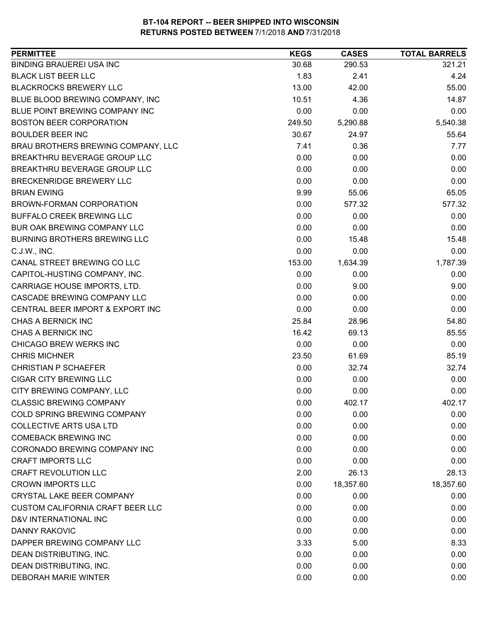| 30.68<br>290.53<br>321.21<br>1.83<br>4.24<br>2.41<br>13.00<br>55.00<br>42.00<br>10.51<br>14.87<br>4.36<br>0.00<br>0.00<br>0.00<br>249.50<br>5,540.38<br>5,290.88<br>30.67<br>24.97<br>55.64<br>7.41<br>0.36<br>7.77<br>0.00<br>0.00<br>0.00<br>0.00<br>0.00<br>0.00<br>0.00<br>0.00<br>0.00<br>9.99<br>65.05<br>55.06<br>577.32<br>0.00<br>577.32<br>0.00<br>0.00<br>0.00<br>0.00<br>0.00<br>0.00<br>0.00<br>15.48<br>15.48<br>0.00<br>0.00<br>0.00<br>1,787.39<br>153.00<br>1,634.39<br>0.00<br>0.00<br>0.00<br>0.00<br>9.00<br>9.00<br>0.00<br>0.00<br>0.00<br>0.00<br>0.00<br>0.00<br>25.84<br>28.96<br>54.80<br>85.55<br>16.42<br>69.13<br>0.00<br>0.00<br>0.00<br>85.19<br>23.50<br>61.69<br>32.74<br>32.74<br>0.00<br>0.00<br>0.00<br>0.00<br>0.00<br>0.00<br>0.00<br>0.00<br>402.17<br>402.17<br>0.00<br>0.00<br>0.00<br>0.00<br>0.00<br>0.00<br>0.00<br>0.00<br>0.00<br>0.00<br>0.00<br>0.00<br>0.00<br>0.00<br>0.00<br>28.13<br>2.00<br>26.13<br>18,357.60<br>18,357.60<br>0.00<br>0.00<br>0.00<br>0.00<br>0.00<br>0.00<br>0.00<br>0.00<br>0.00<br>0.00<br>0.00<br>0.00<br>0.00<br>3.33<br>5.00<br>8.33<br>0.00<br>0.00<br>0.00<br>0.00<br>0.00<br>0.00 | <b>PERMITTEE</b>                        | <b>KEGS</b> | <b>CASES</b> | <b>TOTAL BARRELS</b> |
|------------------------------------------------------------------------------------------------------------------------------------------------------------------------------------------------------------------------------------------------------------------------------------------------------------------------------------------------------------------------------------------------------------------------------------------------------------------------------------------------------------------------------------------------------------------------------------------------------------------------------------------------------------------------------------------------------------------------------------------------------------------------------------------------------------------------------------------------------------------------------------------------------------------------------------------------------------------------------------------------------------------------------------------------------------------------------------------------------------------------------------------------------------------|-----------------------------------------|-------------|--------------|----------------------|
|                                                                                                                                                                                                                                                                                                                                                                                                                                                                                                                                                                                                                                                                                                                                                                                                                                                                                                                                                                                                                                                                                                                                                                  | <b>BINDING BRAUEREI USA INC</b>         |             |              |                      |
|                                                                                                                                                                                                                                                                                                                                                                                                                                                                                                                                                                                                                                                                                                                                                                                                                                                                                                                                                                                                                                                                                                                                                                  | <b>BLACK LIST BEER LLC</b>              |             |              |                      |
|                                                                                                                                                                                                                                                                                                                                                                                                                                                                                                                                                                                                                                                                                                                                                                                                                                                                                                                                                                                                                                                                                                                                                                  | <b>BLACKROCKS BREWERY LLC</b>           |             |              |                      |
|                                                                                                                                                                                                                                                                                                                                                                                                                                                                                                                                                                                                                                                                                                                                                                                                                                                                                                                                                                                                                                                                                                                                                                  | BLUE BLOOD BREWING COMPANY, INC         |             |              |                      |
|                                                                                                                                                                                                                                                                                                                                                                                                                                                                                                                                                                                                                                                                                                                                                                                                                                                                                                                                                                                                                                                                                                                                                                  | BLUE POINT BREWING COMPANY INC          |             |              |                      |
|                                                                                                                                                                                                                                                                                                                                                                                                                                                                                                                                                                                                                                                                                                                                                                                                                                                                                                                                                                                                                                                                                                                                                                  | <b>BOSTON BEER CORPORATION</b>          |             |              |                      |
|                                                                                                                                                                                                                                                                                                                                                                                                                                                                                                                                                                                                                                                                                                                                                                                                                                                                                                                                                                                                                                                                                                                                                                  | <b>BOULDER BEER INC</b>                 |             |              |                      |
|                                                                                                                                                                                                                                                                                                                                                                                                                                                                                                                                                                                                                                                                                                                                                                                                                                                                                                                                                                                                                                                                                                                                                                  | BRAU BROTHERS BREWING COMPANY, LLC      |             |              |                      |
|                                                                                                                                                                                                                                                                                                                                                                                                                                                                                                                                                                                                                                                                                                                                                                                                                                                                                                                                                                                                                                                                                                                                                                  | BREAKTHRU BEVERAGE GROUP LLC            |             |              |                      |
|                                                                                                                                                                                                                                                                                                                                                                                                                                                                                                                                                                                                                                                                                                                                                                                                                                                                                                                                                                                                                                                                                                                                                                  | BREAKTHRU BEVERAGE GROUP LLC            |             |              |                      |
|                                                                                                                                                                                                                                                                                                                                                                                                                                                                                                                                                                                                                                                                                                                                                                                                                                                                                                                                                                                                                                                                                                                                                                  | BRECKENRIDGE BREWERY LLC                |             |              |                      |
|                                                                                                                                                                                                                                                                                                                                                                                                                                                                                                                                                                                                                                                                                                                                                                                                                                                                                                                                                                                                                                                                                                                                                                  | <b>BRIAN EWING</b>                      |             |              |                      |
|                                                                                                                                                                                                                                                                                                                                                                                                                                                                                                                                                                                                                                                                                                                                                                                                                                                                                                                                                                                                                                                                                                                                                                  | BROWN-FORMAN CORPORATION                |             |              |                      |
|                                                                                                                                                                                                                                                                                                                                                                                                                                                                                                                                                                                                                                                                                                                                                                                                                                                                                                                                                                                                                                                                                                                                                                  | <b>BUFFALO CREEK BREWING LLC</b>        |             |              |                      |
|                                                                                                                                                                                                                                                                                                                                                                                                                                                                                                                                                                                                                                                                                                                                                                                                                                                                                                                                                                                                                                                                                                                                                                  | <b>BUR OAK BREWING COMPANY LLC</b>      |             |              |                      |
|                                                                                                                                                                                                                                                                                                                                                                                                                                                                                                                                                                                                                                                                                                                                                                                                                                                                                                                                                                                                                                                                                                                                                                  | <b>BURNING BROTHERS BREWING LLC</b>     |             |              |                      |
|                                                                                                                                                                                                                                                                                                                                                                                                                                                                                                                                                                                                                                                                                                                                                                                                                                                                                                                                                                                                                                                                                                                                                                  | C.J.W., INC.                            |             |              |                      |
|                                                                                                                                                                                                                                                                                                                                                                                                                                                                                                                                                                                                                                                                                                                                                                                                                                                                                                                                                                                                                                                                                                                                                                  | CANAL STREET BREWING CO LLC             |             |              |                      |
|                                                                                                                                                                                                                                                                                                                                                                                                                                                                                                                                                                                                                                                                                                                                                                                                                                                                                                                                                                                                                                                                                                                                                                  | CAPITOL-HUSTING COMPANY, INC.           |             |              |                      |
|                                                                                                                                                                                                                                                                                                                                                                                                                                                                                                                                                                                                                                                                                                                                                                                                                                                                                                                                                                                                                                                                                                                                                                  | CARRIAGE HOUSE IMPORTS, LTD.            |             |              |                      |
|                                                                                                                                                                                                                                                                                                                                                                                                                                                                                                                                                                                                                                                                                                                                                                                                                                                                                                                                                                                                                                                                                                                                                                  | CASCADE BREWING COMPANY LLC             |             |              |                      |
|                                                                                                                                                                                                                                                                                                                                                                                                                                                                                                                                                                                                                                                                                                                                                                                                                                                                                                                                                                                                                                                                                                                                                                  | CENTRAL BEER IMPORT & EXPORT INC        |             |              |                      |
|                                                                                                                                                                                                                                                                                                                                                                                                                                                                                                                                                                                                                                                                                                                                                                                                                                                                                                                                                                                                                                                                                                                                                                  | CHAS A BERNICK INC                      |             |              |                      |
|                                                                                                                                                                                                                                                                                                                                                                                                                                                                                                                                                                                                                                                                                                                                                                                                                                                                                                                                                                                                                                                                                                                                                                  | CHAS A BERNICK INC                      |             |              |                      |
|                                                                                                                                                                                                                                                                                                                                                                                                                                                                                                                                                                                                                                                                                                                                                                                                                                                                                                                                                                                                                                                                                                                                                                  | CHICAGO BREW WERKS INC                  |             |              |                      |
|                                                                                                                                                                                                                                                                                                                                                                                                                                                                                                                                                                                                                                                                                                                                                                                                                                                                                                                                                                                                                                                                                                                                                                  | <b>CHRIS MICHNER</b>                    |             |              |                      |
|                                                                                                                                                                                                                                                                                                                                                                                                                                                                                                                                                                                                                                                                                                                                                                                                                                                                                                                                                                                                                                                                                                                                                                  | <b>CHRISTIAN P SCHAEFER</b>             |             |              |                      |
|                                                                                                                                                                                                                                                                                                                                                                                                                                                                                                                                                                                                                                                                                                                                                                                                                                                                                                                                                                                                                                                                                                                                                                  | <b>CIGAR CITY BREWING LLC</b>           |             |              |                      |
|                                                                                                                                                                                                                                                                                                                                                                                                                                                                                                                                                                                                                                                                                                                                                                                                                                                                                                                                                                                                                                                                                                                                                                  | CITY BREWING COMPANY, LLC               |             |              |                      |
|                                                                                                                                                                                                                                                                                                                                                                                                                                                                                                                                                                                                                                                                                                                                                                                                                                                                                                                                                                                                                                                                                                                                                                  | <b>CLASSIC BREWING COMPANY</b>          |             |              |                      |
|                                                                                                                                                                                                                                                                                                                                                                                                                                                                                                                                                                                                                                                                                                                                                                                                                                                                                                                                                                                                                                                                                                                                                                  | <b>COLD SPRING BREWING COMPANY</b>      |             |              |                      |
|                                                                                                                                                                                                                                                                                                                                                                                                                                                                                                                                                                                                                                                                                                                                                                                                                                                                                                                                                                                                                                                                                                                                                                  | <b>COLLECTIVE ARTS USA LTD</b>          |             |              |                      |
|                                                                                                                                                                                                                                                                                                                                                                                                                                                                                                                                                                                                                                                                                                                                                                                                                                                                                                                                                                                                                                                                                                                                                                  | <b>COMEBACK BREWING INC</b>             |             |              |                      |
|                                                                                                                                                                                                                                                                                                                                                                                                                                                                                                                                                                                                                                                                                                                                                                                                                                                                                                                                                                                                                                                                                                                                                                  | CORONADO BREWING COMPANY INC            |             |              |                      |
|                                                                                                                                                                                                                                                                                                                                                                                                                                                                                                                                                                                                                                                                                                                                                                                                                                                                                                                                                                                                                                                                                                                                                                  | <b>CRAFT IMPORTS LLC</b>                |             |              |                      |
|                                                                                                                                                                                                                                                                                                                                                                                                                                                                                                                                                                                                                                                                                                                                                                                                                                                                                                                                                                                                                                                                                                                                                                  | <b>CRAFT REVOLUTION LLC</b>             |             |              |                      |
|                                                                                                                                                                                                                                                                                                                                                                                                                                                                                                                                                                                                                                                                                                                                                                                                                                                                                                                                                                                                                                                                                                                                                                  | <b>CROWN IMPORTS LLC</b>                |             |              |                      |
|                                                                                                                                                                                                                                                                                                                                                                                                                                                                                                                                                                                                                                                                                                                                                                                                                                                                                                                                                                                                                                                                                                                                                                  | <b>CRYSTAL LAKE BEER COMPANY</b>        |             |              |                      |
|                                                                                                                                                                                                                                                                                                                                                                                                                                                                                                                                                                                                                                                                                                                                                                                                                                                                                                                                                                                                                                                                                                                                                                  | <b>CUSTOM CALIFORNIA CRAFT BEER LLC</b> |             |              |                      |
|                                                                                                                                                                                                                                                                                                                                                                                                                                                                                                                                                                                                                                                                                                                                                                                                                                                                                                                                                                                                                                                                                                                                                                  | D&V INTERNATIONAL INC                   |             |              |                      |
|                                                                                                                                                                                                                                                                                                                                                                                                                                                                                                                                                                                                                                                                                                                                                                                                                                                                                                                                                                                                                                                                                                                                                                  | <b>DANNY RAKOVIC</b>                    |             |              |                      |
|                                                                                                                                                                                                                                                                                                                                                                                                                                                                                                                                                                                                                                                                                                                                                                                                                                                                                                                                                                                                                                                                                                                                                                  | DAPPER BREWING COMPANY LLC              |             |              |                      |
|                                                                                                                                                                                                                                                                                                                                                                                                                                                                                                                                                                                                                                                                                                                                                                                                                                                                                                                                                                                                                                                                                                                                                                  | DEAN DISTRIBUTING, INC.                 |             |              |                      |
|                                                                                                                                                                                                                                                                                                                                                                                                                                                                                                                                                                                                                                                                                                                                                                                                                                                                                                                                                                                                                                                                                                                                                                  | DEAN DISTRIBUTING, INC.                 |             |              |                      |
| 0.00<br>0.00<br>0.00                                                                                                                                                                                                                                                                                                                                                                                                                                                                                                                                                                                                                                                                                                                                                                                                                                                                                                                                                                                                                                                                                                                                             | <b>DEBORAH MARIE WINTER</b>             |             |              |                      |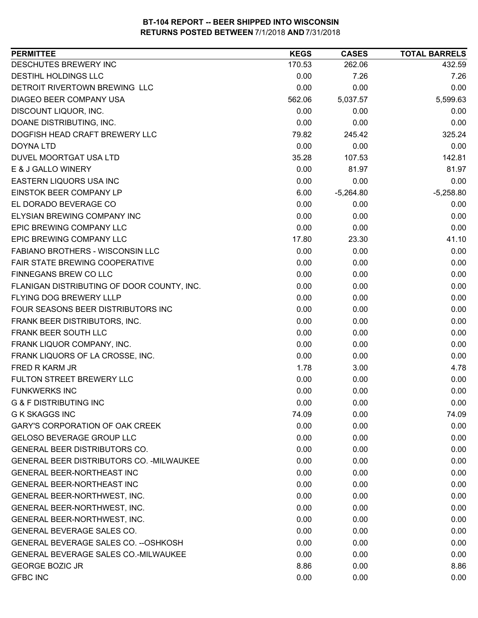| <b>PERMITTEE</b>                            | <b>KEGS</b> | <b>CASES</b> | <b>TOTAL BARRELS</b> |
|---------------------------------------------|-------------|--------------|----------------------|
| DESCHUTES BREWERY INC                       | 170.53      | 262.06       | 432.59               |
| DESTIHL HOLDINGS LLC                        | 0.00        | 7.26         | 7.26                 |
| DETROIT RIVERTOWN BREWING LLC               | 0.00        | 0.00         | 0.00                 |
| DIAGEO BEER COMPANY USA                     | 562.06      | 5,037.57     | 5,599.63             |
| DISCOUNT LIQUOR, INC.                       | 0.00        | 0.00         | 0.00                 |
| DOANE DISTRIBUTING, INC.                    | 0.00        | 0.00         | 0.00                 |
| DOGFISH HEAD CRAFT BREWERY LLC              | 79.82       | 245.42       | 325.24               |
| <b>DOYNA LTD</b>                            | 0.00        | 0.00         | 0.00                 |
| DUVEL MOORTGAT USA LTD                      | 35.28       | 107.53       | 142.81               |
| E & J GALLO WINERY                          | 0.00        | 81.97        | 81.97                |
| EASTERN LIQUORS USA INC                     | 0.00        | 0.00         | 0.00                 |
| EINSTOK BEER COMPANY LP                     | 6.00        | $-5,264.80$  | $-5,258.80$          |
| EL DORADO BEVERAGE CO                       | 0.00        | 0.00         | 0.00                 |
| ELYSIAN BREWING COMPANY INC                 | 0.00        | 0.00         | 0.00                 |
| EPIC BREWING COMPANY LLC                    | 0.00        | 0.00         | 0.00                 |
| EPIC BREWING COMPANY LLC                    | 17.80       | 23.30        | 41.10                |
| FABIANO BROTHERS - WISCONSIN LLC            | 0.00        | 0.00         | 0.00                 |
| FAIR STATE BREWING COOPERATIVE              | 0.00        | 0.00         | 0.00                 |
| FINNEGANS BREW CO LLC                       | 0.00        | 0.00         | 0.00                 |
| FLANIGAN DISTRIBUTING OF DOOR COUNTY, INC.  | 0.00        | 0.00         | 0.00                 |
| FLYING DOG BREWERY LLLP                     | 0.00        | 0.00         | 0.00                 |
| FOUR SEASONS BEER DISTRIBUTORS INC          | 0.00        | 0.00         | 0.00                 |
| FRANK BEER DISTRIBUTORS, INC.               | 0.00        | 0.00         | 0.00                 |
| FRANK BEER SOUTH LLC                        | 0.00        | 0.00         | 0.00                 |
| FRANK LIQUOR COMPANY, INC.                  | 0.00        | 0.00         | 0.00                 |
| FRANK LIQUORS OF LA CROSSE, INC.            | 0.00        | 0.00         | 0.00                 |
| FRED R KARM JR                              | 1.78        | 3.00         | 4.78                 |
| FULTON STREET BREWERY LLC                   | 0.00        | 0.00         | 0.00                 |
| <b>FUNKWERKS INC</b>                        | 0.00        | 0.00         | 0.00                 |
| <b>G &amp; F DISTRIBUTING INC</b>           | 0.00        | 0.00         | 0.00                 |
| <b>G K SKAGGS INC</b>                       | 74.09       | 0.00         | 74.09                |
| <b>GARY'S CORPORATION OF OAK CREEK</b>      | 0.00        | 0.00         | 0.00                 |
| GELOSO BEVERAGE GROUP LLC                   | 0.00        | 0.00         | 0.00                 |
| GENERAL BEER DISTRIBUTORS CO.               | 0.00        | 0.00         | 0.00                 |
| GENERAL BEER DISTRIBUTORS CO. - MILWAUKEE   | 0.00        | 0.00         | 0.00                 |
| <b>GENERAL BEER-NORTHEAST INC</b>           | 0.00        | 0.00         | 0.00                 |
| GENERAL BEER-NORTHEAST INC                  | 0.00        | 0.00         | 0.00                 |
| GENERAL BEER-NORTHWEST, INC.                | 0.00        | 0.00         | 0.00                 |
| GENERAL BEER-NORTHWEST, INC.                | 0.00        | 0.00         | 0.00                 |
| GENERAL BEER-NORTHWEST, INC.                | 0.00        | 0.00         | 0.00                 |
| GENERAL BEVERAGE SALES CO.                  | 0.00        | 0.00         | 0.00                 |
| GENERAL BEVERAGE SALES CO. -- OSHKOSH       | 0.00        | 0.00         | 0.00                 |
| <b>GENERAL BEVERAGE SALES CO.-MILWAUKEE</b> | 0.00        | 0.00         | 0.00                 |
| <b>GEORGE BOZIC JR</b>                      | 8.86        | 0.00         | 8.86                 |
| <b>GFBC INC</b>                             | 0.00        | 0.00         | 0.00                 |
|                                             |             |              |                      |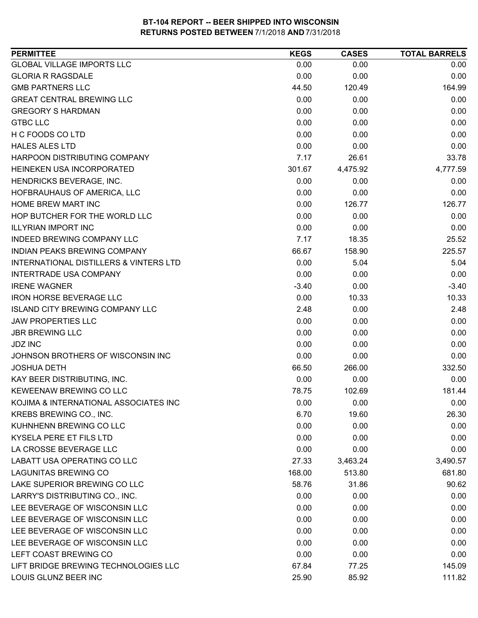| <b>PERMITTEE</b>                       | <b>KEGS</b> | <b>CASES</b> | <b>TOTAL BARRELS</b> |
|----------------------------------------|-------------|--------------|----------------------|
| <b>GLOBAL VILLAGE IMPORTS LLC</b>      | 0.00        | 0.00         | 0.00                 |
| <b>GLORIA R RAGSDALE</b>               | 0.00        | 0.00         | 0.00                 |
| <b>GMB PARTNERS LLC</b>                | 44.50       | 120.49       | 164.99               |
| <b>GREAT CENTRAL BREWING LLC</b>       | 0.00        | 0.00         | 0.00                 |
| <b>GREGORY S HARDMAN</b>               | 0.00        | 0.00         | 0.00                 |
| <b>GTBC LLC</b>                        | 0.00        | 0.00         | 0.00                 |
| H C FOODS CO LTD                       | 0.00        | 0.00         | 0.00                 |
| <b>HALES ALES LTD</b>                  | 0.00        | 0.00         | 0.00                 |
| HARPOON DISTRIBUTING COMPANY           | 7.17        | 26.61        | 33.78                |
| HEINEKEN USA INCORPORATED<br>301.67    |             | 4,475.92     | 4,777.59             |
| HENDRICKS BEVERAGE, INC.               | 0.00        | 0.00         | 0.00                 |
| HOFBRAUHAUS OF AMERICA, LLC            | 0.00        | 0.00         | 0.00                 |
| <b>HOME BREW MART INC</b>              | 0.00        | 126.77       | 126.77               |
| HOP BUTCHER FOR THE WORLD LLC          | 0.00        | 0.00         | 0.00                 |
| <b>ILLYRIAN IMPORT INC</b>             | 0.00        | 0.00         | 0.00                 |
| <b>INDEED BREWING COMPANY LLC</b>      | 7.17        | 18.35        | 25.52                |
| INDIAN PEAKS BREWING COMPANY           | 66.67       | 158.90       | 225.57               |
| INTERNATIONAL DISTILLERS & VINTERS LTD | 0.00        | 5.04         | 5.04                 |
| <b>INTERTRADE USA COMPANY</b>          | 0.00        | 0.00         | 0.00                 |
| <b>IRENE WAGNER</b>                    | $-3.40$     | 0.00         | $-3.40$              |
| <b>IRON HORSE BEVERAGE LLC</b>         | 0.00        | 10.33        | 10.33                |
| <b>ISLAND CITY BREWING COMPANY LLC</b> | 2.48        | 0.00         | 2.48                 |
| <b>JAW PROPERTIES LLC</b>              | 0.00        | 0.00         | 0.00                 |
| <b>JBR BREWING LLC</b>                 | 0.00        | 0.00         | 0.00                 |
| <b>JDZ INC</b>                         | 0.00        | 0.00         | 0.00                 |
| JOHNSON BROTHERS OF WISCONSIN INC      | 0.00        | 0.00         | 0.00                 |
| <b>JOSHUA DETH</b>                     | 66.50       | 266.00       | 332.50               |
| KAY BEER DISTRIBUTING, INC.            | 0.00        | 0.00         | 0.00                 |
| KEWEENAW BREWING CO LLC                | 78.75       | 102.69       | 181.44               |
| KOJIMA & INTERNATIONAL ASSOCIATES INC  | 0.00        | 0.00         | 0.00                 |
| KREBS BREWING CO., INC.                | 6.70        | 19.60        | 26.30                |
| KUHNHENN BREWING CO LLC                | 0.00        | 0.00         | 0.00                 |
| KYSELA PERE ET FILS LTD                | 0.00        | 0.00         | 0.00                 |
| LA CROSSE BEVERAGE LLC                 | 0.00        | 0.00         | 0.00                 |
| LABATT USA OPERATING CO LLC            | 27.33       | 3,463.24     | 3,490.57             |
| <b>LAGUNITAS BREWING CO</b><br>168.00  |             | 513.80       | 681.80               |
| LAKE SUPERIOR BREWING CO LLC           | 58.76       | 31.86        | 90.62                |
| LARRY'S DISTRIBUTING CO., INC.         | 0.00        | 0.00         | 0.00                 |
| LEE BEVERAGE OF WISCONSIN LLC          | 0.00        | 0.00         | 0.00                 |
| LEE BEVERAGE OF WISCONSIN LLC          | 0.00        | 0.00         | 0.00                 |
| LEE BEVERAGE OF WISCONSIN LLC          | 0.00        | 0.00         | 0.00                 |
| LEE BEVERAGE OF WISCONSIN LLC          | 0.00        | 0.00         | 0.00                 |
| LEFT COAST BREWING CO                  | 0.00        | 0.00         | 0.00                 |
| LIFT BRIDGE BREWING TECHNOLOGIES LLC   | 67.84       | 77.25        | 145.09               |
| LOUIS GLUNZ BEER INC                   | 25.90       | 85.92        | 111.82               |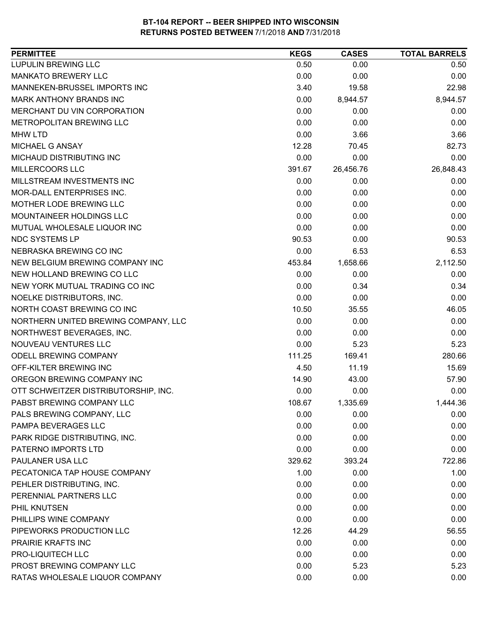| <b>PERMITTEE</b>                     | <b>KEGS</b> | <b>CASES</b> | <b>TOTAL BARRELS</b> |
|--------------------------------------|-------------|--------------|----------------------|
| <b>LUPULIN BREWING LLC</b>           | 0.50        | 0.00         | 0.50                 |
| <b>MANKATO BREWERY LLC</b>           | 0.00        | 0.00         | 0.00                 |
| MANNEKEN-BRUSSEL IMPORTS INC         | 3.40        | 19.58        | 22.98                |
| <b>MARK ANTHONY BRANDS INC</b>       | 0.00        | 8,944.57     | 8,944.57             |
| MERCHANT DU VIN CORPORATION          | 0.00        | 0.00         | 0.00                 |
| METROPOLITAN BREWING LLC             | 0.00        | 0.00         | 0.00                 |
| <b>MHW LTD</b>                       | 0.00        | 3.66         | 3.66                 |
| MICHAEL G ANSAY                      | 12.28       | 70.45        | 82.73                |
| MICHAUD DISTRIBUTING INC             | 0.00        | 0.00         | 0.00                 |
| MILLERCOORS LLC                      | 391.67      | 26,456.76    | 26,848.43            |
| MILLSTREAM INVESTMENTS INC           | 0.00        | 0.00         | 0.00                 |
| MOR-DALL ENTERPRISES INC.            | 0.00        | 0.00         | 0.00                 |
| MOTHER LODE BREWING LLC              | 0.00        | 0.00         | 0.00                 |
| MOUNTAINEER HOLDINGS LLC             | 0.00        | 0.00         | 0.00                 |
| MUTUAL WHOLESALE LIQUOR INC          | 0.00        | 0.00         | 0.00                 |
| <b>NDC SYSTEMS LP</b>                | 90.53       | 0.00         | 90.53                |
| NEBRASKA BREWING CO INC              | 0.00        | 6.53         | 6.53                 |
| NEW BELGIUM BREWING COMPANY INC      | 453.84      | 1,658.66     | 2,112.50             |
| NEW HOLLAND BREWING CO LLC           | 0.00        | 0.00         | 0.00                 |
| NEW YORK MUTUAL TRADING CO INC       | 0.00        | 0.34         | 0.34                 |
| NOELKE DISTRIBUTORS, INC.            | 0.00        | 0.00         | 0.00                 |
| NORTH COAST BREWING CO INC           | 10.50       | 35.55        | 46.05                |
| NORTHERN UNITED BREWING COMPANY, LLC | 0.00        | 0.00         | 0.00                 |
| NORTHWEST BEVERAGES, INC.            | 0.00        | 0.00         | 0.00                 |
| NOUVEAU VENTURES LLC                 | 0.00        | 5.23         | 5.23                 |
| ODELL BREWING COMPANY                | 111.25      | 169.41       | 280.66               |
| OFF-KILTER BREWING INC               | 4.50        | 11.19        | 15.69                |
| OREGON BREWING COMPANY INC           | 14.90       | 43.00        | 57.90                |
| OTT SCHWEITZER DISTRIBUTORSHIP, INC. | 0.00        | 0.00         | 0.00                 |
| PABST BREWING COMPANY LLC            | 108.67      | 1,335.69     | 1,444.36             |
| PALS BREWING COMPANY, LLC            | 0.00        | 0.00         | 0.00                 |
| <b>PAMPA BEVERAGES LLC</b>           | 0.00        | 0.00         | 0.00                 |
| PARK RIDGE DISTRIBUTING, INC.        | 0.00        | 0.00         | 0.00                 |
| PATERNO IMPORTS LTD                  | 0.00        | 0.00         | 0.00                 |
| PAULANER USA LLC                     | 329.62      | 393.24       | 722.86               |
| PECATONICA TAP HOUSE COMPANY         | 1.00        | 0.00         | 1.00                 |
| PEHLER DISTRIBUTING, INC.            | 0.00        | 0.00         | 0.00                 |
| PERENNIAL PARTNERS LLC               | 0.00        | 0.00         | 0.00                 |
| PHIL KNUTSEN                         | 0.00        | 0.00         | 0.00                 |
| PHILLIPS WINE COMPANY                | 0.00        | 0.00         | 0.00                 |
| PIPEWORKS PRODUCTION LLC             | 12.26       | 44.29        | 56.55                |
| <b>PRAIRIE KRAFTS INC</b>            | 0.00        | 0.00         | 0.00                 |
| PRO-LIQUITECH LLC                    | 0.00        | 0.00         | 0.00                 |
| PROST BREWING COMPANY LLC            | 0.00        | 5.23         | 5.23                 |
| RATAS WHOLESALE LIQUOR COMPANY       | 0.00        | 0.00         | 0.00                 |
|                                      |             |              |                      |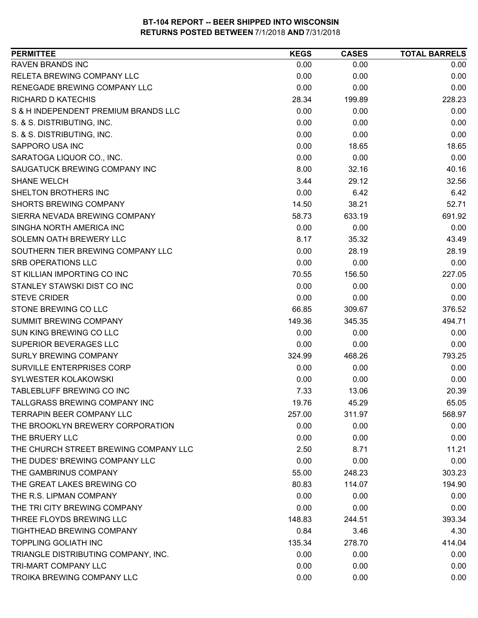| <b>PERMITTEE</b>                      | <b>KEGS</b> | <b>CASES</b> | <b>TOTAL BARRELS</b> |
|---------------------------------------|-------------|--------------|----------------------|
| <b>RAVEN BRANDS INC</b>               | 0.00        | 0.00         | 0.00                 |
| <b>RELETA BREWING COMPANY LLC</b>     | 0.00        | 0.00         | 0.00                 |
| <b>RENEGADE BREWING COMPANY LLC</b>   | 0.00        | 0.00         | 0.00                 |
| <b>RICHARD D KATECHIS</b>             | 28.34       | 199.89       | 228.23               |
| S & H INDEPENDENT PREMIUM BRANDS LLC  | 0.00        | 0.00         | 0.00                 |
| S. & S. DISTRIBUTING, INC.            | 0.00        | 0.00         | 0.00                 |
| S. & S. DISTRIBUTING, INC.            | 0.00        | 0.00         | 0.00                 |
| SAPPORO USA INC                       | 0.00        | 18.65        | 18.65                |
| SARATOGA LIQUOR CO., INC.             | 0.00        | 0.00         | 0.00                 |
| SAUGATUCK BREWING COMPANY INC         | 8.00        | 32.16        | 40.16                |
| <b>SHANE WELCH</b>                    | 3.44        | 29.12        | 32.56                |
| SHELTON BROTHERS INC                  | 0.00        | 6.42         | 6.42                 |
| SHORTS BREWING COMPANY                | 14.50       | 38.21        | 52.71                |
| SIERRA NEVADA BREWING COMPANY         | 58.73       | 633.19       | 691.92               |
| SINGHA NORTH AMERICA INC              | 0.00        | 0.00         | 0.00                 |
| SOLEMN OATH BREWERY LLC               | 8.17        | 35.32        | 43.49                |
| SOUTHERN TIER BREWING COMPANY LLC     | 0.00        | 28.19        | 28.19                |
| <b>SRB OPERATIONS LLC</b>             | 0.00        | 0.00         | 0.00                 |
| ST KILLIAN IMPORTING CO INC           | 70.55       | 156.50       | 227.05               |
| STANLEY STAWSKI DIST CO INC           | 0.00        | 0.00         | 0.00                 |
| <b>STEVE CRIDER</b>                   | 0.00        | 0.00         | 0.00                 |
| STONE BREWING CO LLC                  | 66.85       | 309.67       | 376.52               |
| SUMMIT BREWING COMPANY                | 149.36      | 345.35       | 494.71               |
| SUN KING BREWING CO LLC               | 0.00        | 0.00         | 0.00                 |
| SUPERIOR BEVERAGES LLC                | 0.00        | 0.00         | 0.00                 |
| <b>SURLY BREWING COMPANY</b>          | 324.99      | 468.26       | 793.25               |
| SURVILLE ENTERPRISES CORP             | 0.00        | 0.00         | 0.00                 |
| SYLWESTER KOLAKOWSKI                  | 0.00        | 0.00         | 0.00                 |
| TABLEBLUFF BREWING CO INC             | 7.33        | 13.06        | 20.39                |
| TALLGRASS BREWING COMPANY INC         | 19.76       | 45.29        | 65.05                |
| <b>TERRAPIN BEER COMPANY LLC</b>      | 257.00      | 311.97       | 568.97               |
| THE BROOKLYN BREWERY CORPORATION      | 0.00        | 0.00         | 0.00                 |
| THE BRUERY LLC                        | 0.00        | 0.00         | 0.00                 |
| THE CHURCH STREET BREWING COMPANY LLC | 2.50        | 8.71         | 11.21                |
| THE DUDES' BREWING COMPANY LLC        | 0.00        | 0.00         | 0.00                 |
| THE GAMBRINUS COMPANY                 | 55.00       | 248.23       | 303.23               |
| THE GREAT LAKES BREWING CO            | 80.83       | 114.07       | 194.90               |
| THE R.S. LIPMAN COMPANY               | 0.00        | 0.00         | 0.00                 |
| THE TRI CITY BREWING COMPANY          | 0.00        | 0.00         | 0.00                 |
| THREE FLOYDS BREWING LLC              | 148.83      | 244.51       | 393.34               |
| <b>TIGHTHEAD BREWING COMPANY</b>      | 0.84        | 3.46         | 4.30                 |
| <b>TOPPLING GOLIATH INC</b>           | 135.34      | 278.70       | 414.04               |
| TRIANGLE DISTRIBUTING COMPANY, INC.   | 0.00        | 0.00         | 0.00                 |
| TRI-MART COMPANY LLC                  | 0.00        | 0.00         | 0.00                 |
| TROIKA BREWING COMPANY LLC            | 0.00        | 0.00         | 0.00                 |